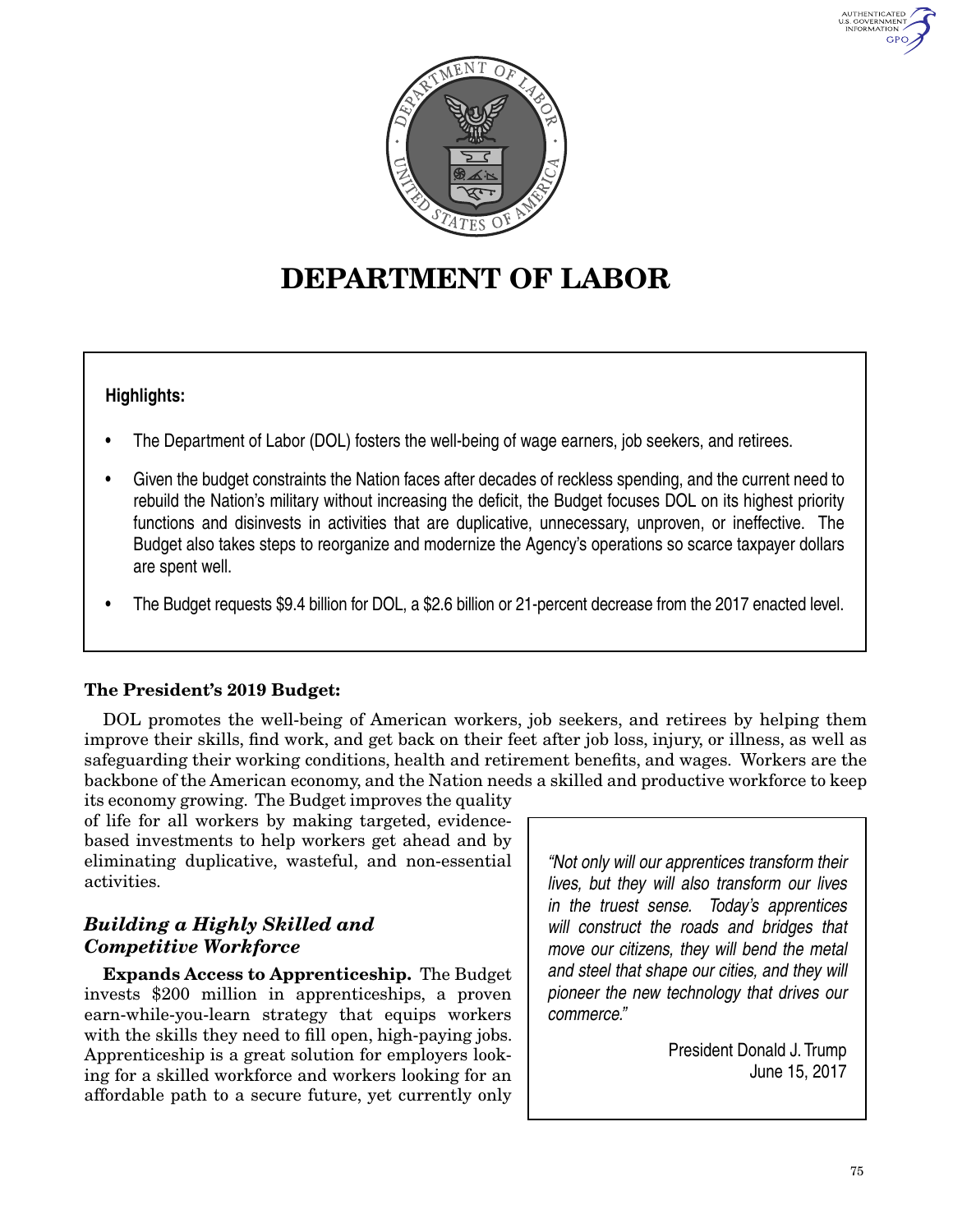



# **DEPARTMENT OF LABOR**

# **Highlights:**

- The Department of Labor (DOL) fosters the well-being of wage earners, job seekers, and retirees.
- Given the budget constraints the Nation faces after decades of reckless spending, and the current need to rebuild the Nation's military without increasing the deficit, the Budget focuses DOL on its highest priority functions and disinvests in activities that are duplicative, unnecessary, unproven, or ineffective. The Budget also takes steps to reorganize and modernize the Agency's operations so scarce taxpayer dollars are spent well.
- The Budget requests \$9.4 billion for DOL, a \$2.6 billion or 21-percent decrease from the 2017 enacted level.

## **The President's 2019 Budget:**

DOL promotes the well-being of American workers, job seekers, and retirees by helping them improve their skills, find work, and get back on their feet after job loss, injury, or illness, as well as safeguarding their working conditions, health and retirement benefits, and wages. Workers are the backbone of the American economy, and the Nation needs a skilled and productive workforce to keep

its economy growing. The Budget improves the quality of life for all workers by making targeted, evidencebased investments to help workers get ahead and by eliminating duplicative, wasteful, and non-essential activities.

# *Building a Highly Skilled and Competitive Workforce*

**Expands Access to Apprenticeship.** The Budget invests \$200 million in apprenticeships, a proven earn-while-you-learn strategy that equips workers with the skills they need to fill open, high-paying jobs. Apprenticeship is a great solution for employers looking for a skilled workforce and workers looking for an affordable path to a secure future, yet currently only

*"Not only will our apprentices transform their lives, but they will also transform our lives in the truest sense. Today's apprentices will construct the roads and bridges that move our citizens, they will bend the metal and steel that shape our cities, and they will pioneer the new technology that drives our commerce."*

> President Donald J. Trump June 15, 2017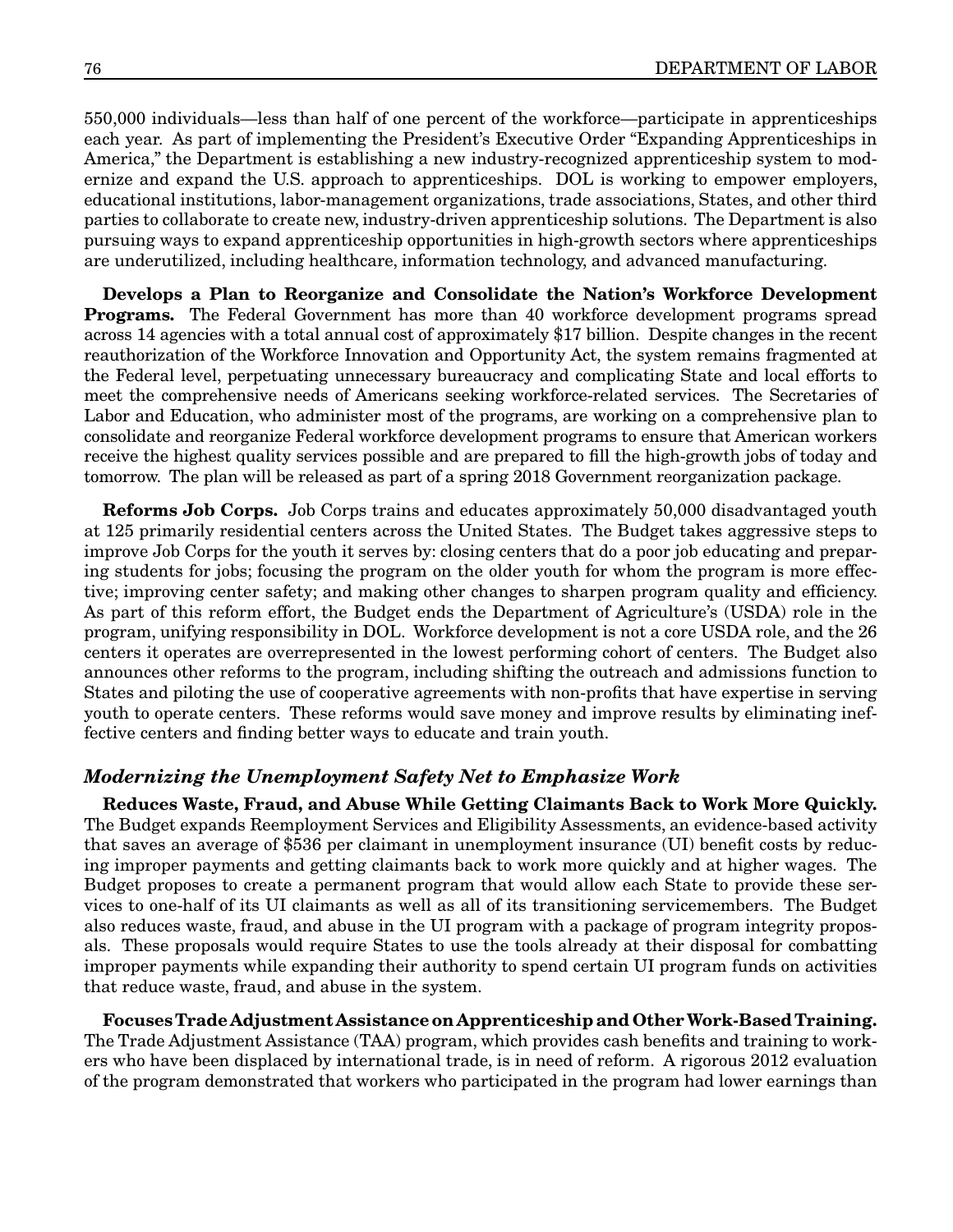550,000 individuals—less than half of one percent of the workforce—participate in apprenticeships each year. As part of implementing the President's Executive Order "Expanding Apprenticeships in America," the Department is establishing a new industry-recognized apprenticeship system to modernize and expand the U.S. approach to apprenticeships. DOL is working to empower employers, educational institutions, labor-management organizations, trade associations, States, and other third parties to collaborate to create new, industry-driven apprenticeship solutions. The Department is also pursuing ways to expand apprenticeship opportunities in high-growth sectors where apprenticeships are underutilized, including healthcare, information technology, and advanced manufacturing.

**Develops a Plan to Reorganize and Consolidate the Nation's Workforce Development Programs.** The Federal Government has more than 40 workforce development programs spread across 14 agencies with a total annual cost of approximately \$17 billion. Despite changes in the recent reauthorization of the Workforce Innovation and Opportunity Act, the system remains fragmented at the Federal level, perpetuating unnecessary bureaucracy and complicating State and local efforts to meet the comprehensive needs of Americans seeking workforce-related services. The Secretaries of Labor and Education, who administer most of the programs, are working on a comprehensive plan to consolidate and reorganize Federal workforce development programs to ensure that American workers receive the highest quality services possible and are prepared to fill the high-growth jobs of today and tomorrow. The plan will be released as part of a spring 2018 Government reorganization package.

**Reforms Job Corps.** Job Corps trains and educates approximately 50,000 disadvantaged youth at 125 primarily residential centers across the United States. The Budget takes aggressive steps to improve Job Corps for the youth it serves by: closing centers that do a poor job educating and preparing students for jobs; focusing the program on the older youth for whom the program is more effective; improving center safety; and making other changes to sharpen program quality and efficiency. As part of this reform effort, the Budget ends the Department of Agriculture's (USDA) role in the program, unifying responsibility in DOL. Workforce development is not a core USDA role, and the 26 centers it operates are overrepresented in the lowest performing cohort of centers. The Budget also announces other reforms to the program, including shifting the outreach and admissions function to States and piloting the use of cooperative agreements with non-profits that have expertise in serving youth to operate centers. These reforms would save money and improve results by eliminating ineffective centers and finding better ways to educate and train youth.

#### *Modernizing the Unemployment Safety Net to Emphasize Work*

**Reduces Waste, Fraud, and Abuse While Getting Claimants Back to Work More Quickly.** The Budget expands Reemployment Services and Eligibility Assessments, an evidence-based activity that saves an average of \$536 per claimant in unemployment insurance (UI) benefit costs by reducing improper payments and getting claimants back to work more quickly and at higher wages. The Budget proposes to create a permanent program that would allow each State to provide these services to one-half of its UI claimants as well as all of its transitioning servicemembers. The Budget also reduces waste, fraud, and abuse in the UI program with a package of program integrity proposals. These proposals would require States to use the tools already at their disposal for combatting improper payments while expanding their authority to spend certain UI program funds on activities that reduce waste, fraud, and abuse in the system.

**Focuses Trade Adjustment Assistance on Apprenticeship and Other Work-Based Training.** The Trade Adjustment Assistance (TAA) program, which provides cash benefits and training to workers who have been displaced by international trade, is in need of reform. A rigorous 2012 evaluation of the program demonstrated that workers who participated in the program had lower earnings than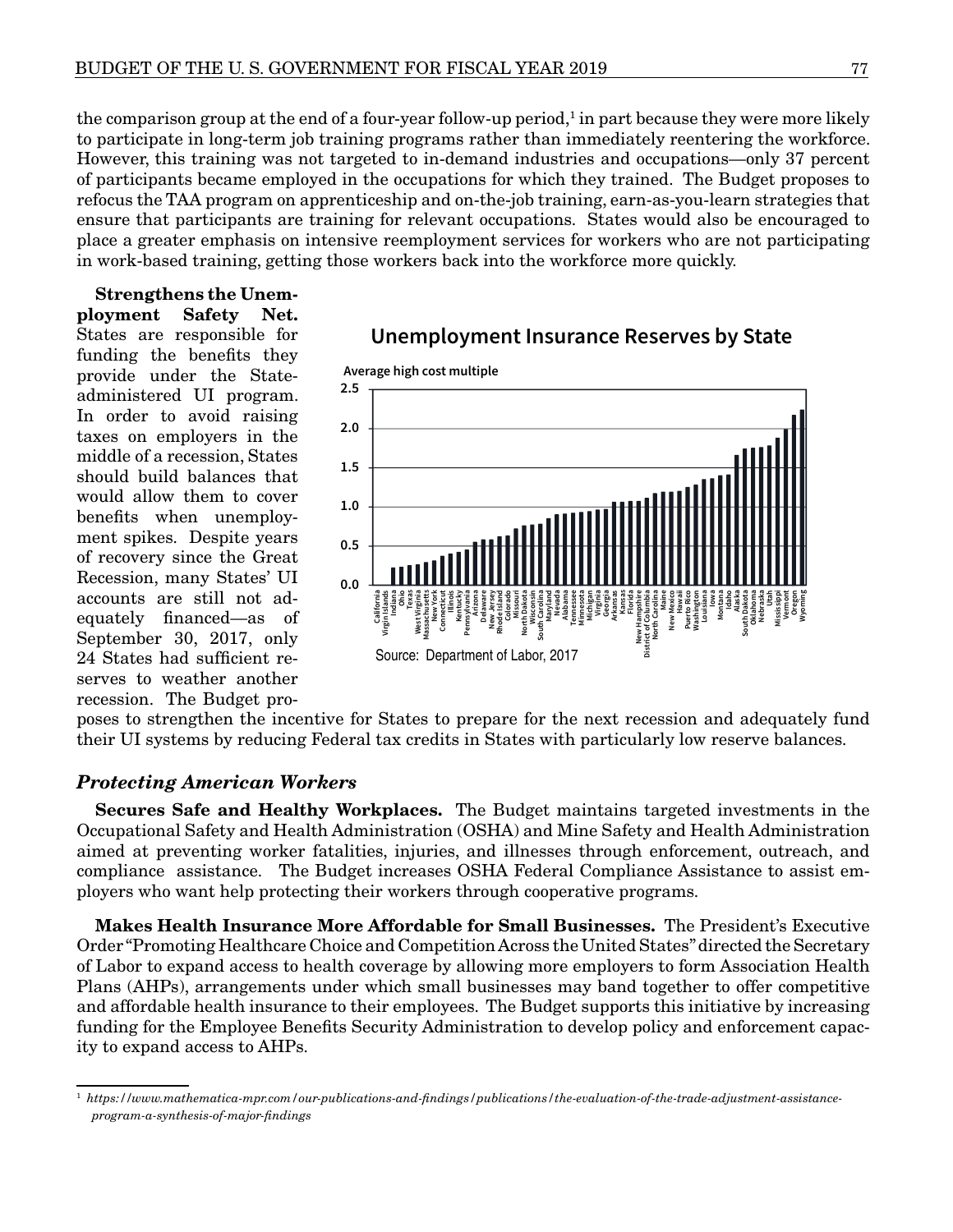the comparison group at the end of a four-year follow-up period,<sup>1</sup> in part because they were more likely to participate in long-term job training programs rather than immediately reentering the workforce. However, this training was not targeted to in-demand industries and occupations—only 37 percent of participants became employed in the occupations for which they trained. The Budget proposes to refocus the TAA program on apprenticeship and on-the-job training, earn-as-you-learn strategies that ensure that participants are training for relevant occupations. States would also be encouraged to place a greater emphasis on intensive reemployment services for workers who are not participating in work-based training, getting those workers back into the workforce more quickly.

**Strengthens the Unemployment Safety Net.** States are responsible for funding the benefits they provide under the Stateadministered UI program. In order to avoid raising taxes on employers in the middle of a recession, States should build balances that would allow them to cover benefits when unemployment spikes. Despite years of recovery since the Great Recession, many States' UI accounts are still not adequately financed—as of September 30, 2017, only 24 States had sufficient reserves to weather another recession. The Budget pro-



### **Unemployment Insurance Reserves by State**

poses to strengthen the incentive for States to prepare for the next recession and adequately fund their UI systems by reducing Federal tax credits in States with particularly low reserve balances.

#### *Protecting American Workers*

**Secures Safe and Healthy Workplaces.** The Budget maintains targeted investments in the Occupational Safety and Health Administration (OSHA) and Mine Safety and Health Administration aimed at preventing worker fatalities, injuries, and illnesses through enforcement, outreach, and compliance assistance. The Budget increases OSHA Federal Compliance Assistance to assist employers who want help protecting their workers through cooperative programs.

**Makes Health Insurance More Affordable for Small Businesses.** The President's Executive Order "Promoting Healthcare Choice and Competition Across the United States" directed the Secretary of Labor to expand access to health coverage by allowing more employers to form Association Health Plans (AHPs), arrangements under which small businesses may band together to offer competitive and affordable health insurance to their employees. The Budget supports this initiative by increasing funding for the Employee Benefits Security Administration to develop policy and enforcement capacity to expand access to AHPs.

<sup>1</sup> *https://www.mathematica-mpr.com/our-publications-and-findings/publications/the-evaluation-of-the-trade-adjustment-assistanceprogram-a-synthesis-of-major-findings*